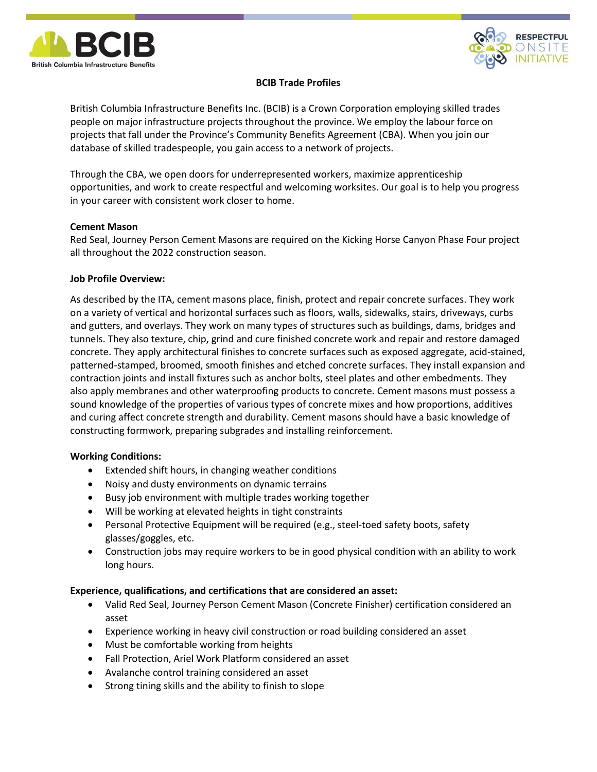



# **BCIB Trade Profiles**

British Columbia Infrastructure Benefits Inc. (BCIB) is a Crown Corporation employing skilled trades people on major infrastructure projects throughout the province. We employ the labour force on projects that fall under the Province's Community Benefits Agreement (CBA). When you join our database of skilled tradespeople, you gain access to a network of projects.

Through the CBA, we open doors for underrepresented workers, maximize apprenticeship opportunities, and work to create respectful and welcoming worksites. Our goal is to help you progress in your career with consistent work closer to home.

## **Cement Mason**

Red Seal, Journey Person Cement Masons are required on the Kicking Horse Canyon Phase Four project all throughout the 2022 construction season.

## **Job Profile Overview:**

As described by the ITA, cement masons place, finish, protect and repair concrete surfaces. They work on a variety of vertical and horizontal surfaces such as floors, walls, sidewalks, stairs, driveways, curbs and gutters, and overlays. They work on many types of structures such as buildings, dams, bridges and tunnels. They also texture, chip, grind and cure finished concrete work and repair and restore damaged concrete. They apply architectural finishes to concrete surfaces such as exposed aggregate, acid-stained, patterned-stamped, broomed, smooth finishes and etched concrete surfaces. They install expansion and contraction joints and install fixtures such as anchor bolts, steel plates and other embedments. They also apply membranes and other waterproofing products to concrete. Cement masons must possess a sound knowledge of the properties of various types of concrete mixes and how proportions, additives and curing affect concrete strength and durability. Cement masons should have a basic knowledge of constructing formwork, preparing subgrades and installing reinforcement.

## **Working Conditions:**

- Extended shift hours, in changing weather conditions
- Noisy and dusty environments on dynamic terrains
- Busy job environment with multiple trades working together
- Will be working at elevated heights in tight constraints
- Personal Protective Equipment will be required (e.g., steel-toed safety boots, safety glasses/goggles, etc.
- Construction jobs may require workers to be in good physical condition with an ability to work long hours.

#### **Experience, qualifications, and certifications that are considered an asset:**

- Valid Red Seal, Journey Person Cement Mason (Concrete Finisher) certification considered an asset
- Experience working in heavy civil construction or road building considered an asset
- Must be comfortable working from heights
- Fall Protection, Ariel Work Platform considered an asset
- Avalanche control training considered an asset
- Strong tining skills and the ability to finish to slope